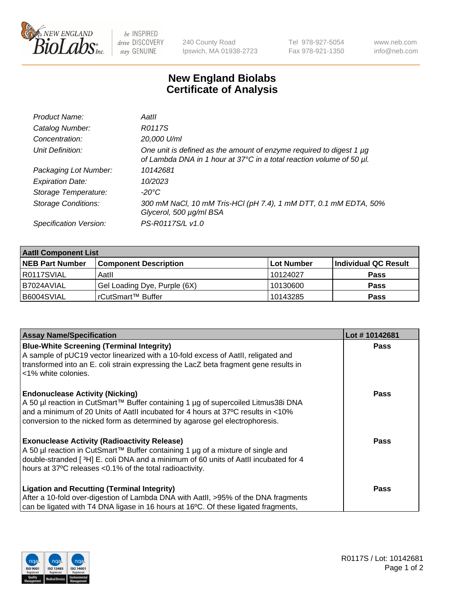

 $be$  INSPIRED drive DISCOVERY stay GENUINE

240 County Road Ipswich, MA 01938-2723 Tel 978-927-5054 Fax 978-921-1350 www.neb.com info@neb.com

## **New England Biolabs Certificate of Analysis**

| Product Name:              | Aatll                                                                                                                                       |
|----------------------------|---------------------------------------------------------------------------------------------------------------------------------------------|
| Catalog Number:            | R0117S                                                                                                                                      |
| Concentration:             | 20,000 U/ml                                                                                                                                 |
| Unit Definition:           | One unit is defined as the amount of enzyme required to digest 1 µg<br>of Lambda DNA in 1 hour at 37°C in a total reaction volume of 50 µl. |
| Packaging Lot Number:      | 10142681                                                                                                                                    |
| <b>Expiration Date:</b>    | 10/2023                                                                                                                                     |
| Storage Temperature:       | -20°C                                                                                                                                       |
| <b>Storage Conditions:</b> | 300 mM NaCl, 10 mM Tris-HCl (pH 7.4), 1 mM DTT, 0.1 mM EDTA, 50%<br>Glycerol, 500 µg/ml BSA                                                 |
| Specification Version:     | PS-R0117S/L v1.0                                                                                                                            |

| <b>Aatll Component List</b> |                              |            |                      |  |  |
|-----------------------------|------------------------------|------------|----------------------|--|--|
| <b>NEB Part Number</b>      | <b>Component Description</b> | Lot Number | Individual QC Result |  |  |
| R0117SVIAL                  | Aatll                        | 10124027   | <b>Pass</b>          |  |  |
| I B7024AVIAL                | Gel Loading Dye, Purple (6X) | 10130600   | <b>Pass</b>          |  |  |
| B6004SVIAL                  | l rCutSmart™ Buffer          | 10143285   | <b>Pass</b>          |  |  |

| <b>Assay Name/Specification</b>                                                                                                                                       | Lot #10142681 |
|-----------------------------------------------------------------------------------------------------------------------------------------------------------------------|---------------|
| <b>Blue-White Screening (Terminal Integrity)</b><br>A sample of pUC19 vector linearized with a 10-fold excess of Aatll, religated and                                 | <b>Pass</b>   |
| transformed into an E. coli strain expressing the LacZ beta fragment gene results in<br><1% white colonies.                                                           |               |
| <b>Endonuclease Activity (Nicking)</b>                                                                                                                                | <b>Pass</b>   |
| A 50 µl reaction in CutSmart™ Buffer containing 1 µg of supercoiled Litmus38i DNA<br>and a minimum of 20 Units of AatII incubated for 4 hours at 37°C results in <10% |               |
| conversion to the nicked form as determined by agarose gel electrophoresis.                                                                                           |               |
| <b>Exonuclease Activity (Radioactivity Release)</b>                                                                                                                   | <b>Pass</b>   |
| A 50 µl reaction in CutSmart™ Buffer containing 1 µg of a mixture of single and                                                                                       |               |
| double-stranded [3H] E. coli DNA and a minimum of 60 units of Aatll incubated for 4<br>hours at 37°C releases <0.1% of the total radioactivity.                       |               |
| <b>Ligation and Recutting (Terminal Integrity)</b>                                                                                                                    | <b>Pass</b>   |
| After a 10-fold over-digestion of Lambda DNA with AatII, >95% of the DNA fragments                                                                                    |               |
| can be ligated with T4 DNA ligase in 16 hours at 16°C. Of these ligated fragments,                                                                                    |               |